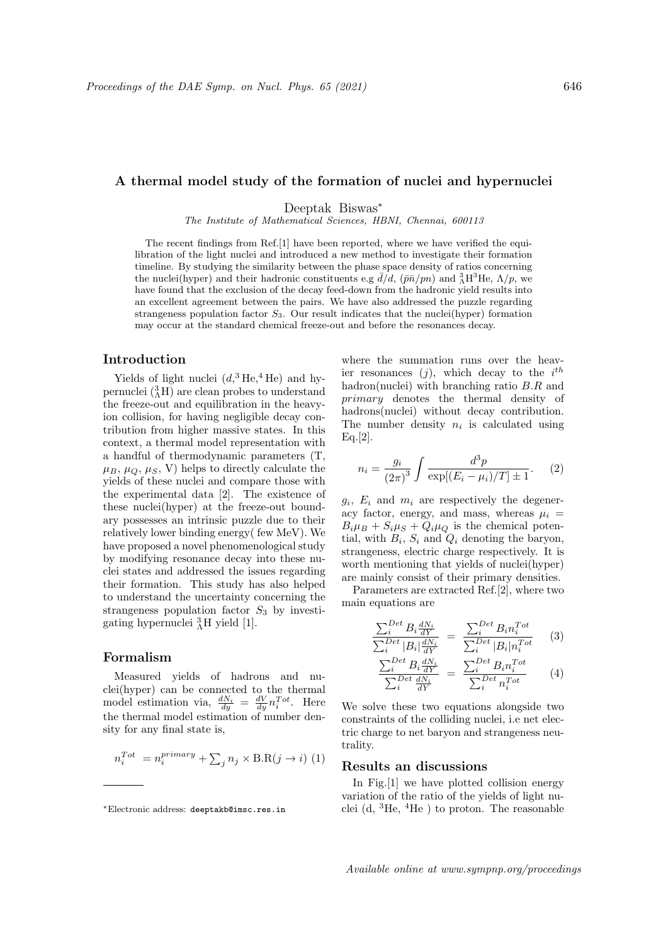## A thermal model study of the formation of nuclei and hypernuclei

Deeptak Biswas<sup>∗</sup>

The Institute of Mathematical Sciences, HBNI, Chennai, 600113

The recent findings from Ref.[1] have been reported, where we have verified the equilibration of the light nuclei and introduced a new method to investigate their formation timeline. By studying the similarity between the phase space density of ratios concerning the nuclei(hyper) and their hadronic constituents e.g  $\bar{d}/d$ ,  $(\bar{p}\bar{n}/pn)$  and  ${}_{\Lambda}^{3}H^{3}He$ ,  $\Lambda/p$ , we have found that the exclusion of the decay feed-down from the hadronic yield results into an excellent agreement between the pairs. We have also addressed the puzzle regarding strangeness population factor  $S_3$ . Our result indicates that the nuclei(hyper) formation may occur at the standard chemical freeze-out and before the resonances decay.

## Introduction

Yields of light nuclei  $(d, \frac{3 \text{He}}{4 \text{He}})$  and hypernuclei  $({}^{3}_{\Lambda}\text{H})$  are clean probes to understand the freeze-out and equilibration in the heavyion collision, for having negligible decay contribution from higher massive states. In this context, a thermal model representation with a handful of thermodynamic parameters (T,  $\mu_B, \mu_Q, \mu_S, V$  helps to directly calculate the yields of these nuclei and compare those with the experimental data [2]. The existence of these nuclei(hyper) at the freeze-out boundary possesses an intrinsic puzzle due to their relatively lower binding energy( few MeV). We have proposed a novel phenomenological study by modifying resonance decay into these nuclei states and addressed the issues regarding their formation. This study has also helped to understand the uncertainty concerning the strangeness population factor  $S_3$  by investigating hypernuclei  ${}^{3}_{\Lambda}$ H yield [1].

# Formalism

Measured yields of hadrons and nuclei(hyper) can be connected to the thermal model estimation via,  $\frac{dN_i}{dy} = \frac{dV}{dy} n_i^{Tot}$ . Here the thermal model estimation of number density for any final state is,

$$
n_i^{Tot} = n_i^{primary} + \sum_j n_j \times B.R(j \to i) \tag{1}
$$

where the summation runs over the heavier resonances  $(j)$ , which decay to the  $i^{th}$ hadron(nuclei) with branching ratio B.R and primary denotes the thermal density of hadrons(nuclei) without decay contribution. The number density  $n_i$  is calculated using Eq.[2].

$$
n_i = \frac{g_i}{(2\pi)^3} \int \frac{d^3p}{\exp[(E_i - \mu_i)/T] \pm 1}.
$$
 (2)

 $g_i$ ,  $E_i$  and  $m_i$  are respectively the degeneracy factor, energy, and mass, whereas  $\mu_i$  =  $B_i\mu_B + S_i\mu_S + Q_i\mu_Q$  is the chemical potential, with  $B_i$ ,  $S_i$  and  $Q_i$  denoting the baryon, strangeness, electric charge respectively. It is worth mentioning that yields of nuclei(hyper) are mainly consist of their primary densities.

Parameters are extracted Ref.[2], where two main equations are

$$
\frac{\sum_{i}^{Det} B_{i} \frac{dN_{i}}{dY}}{\sum_{i}^{Det} |B_{i}| \frac{dN_{i}}{dY}} = \frac{\sum_{i}^{Det} B_{i} n_{i}^{Tot}}{\sum_{i}^{Det} |B_{i}| n_{i}^{Tot}} \qquad (3)
$$

$$
\frac{\sum_{i}^{Det} B_{i} \frac{dN_{i}}{dY}}{\sum_{i}^{Det} \frac{dN_{i}}{dY}} = \frac{\sum_{i}^{Det} B_{i} n_{i}^{Tot}}{\sum_{i}^{Det} n_{i}^{Tot}} \qquad (4)
$$

We solve these two equations alongside two constraints of the colliding nuclei, i.e net electric charge to net baryon and strangeness neutrality.

# Results an discussions

In Fig.[1] we have plotted collision energy variation of the ratio of the yields of light nuclei (d,  ${}^{3}$ He,  ${}^{4}$ He) to proton. The reasonable

Available online at www.sympnp.org/proceedings

<sup>∗</sup>Electronic address: deeptakb@imsc.res.in